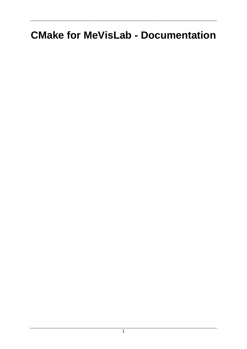# **CMake for MeVisLab - Documentation**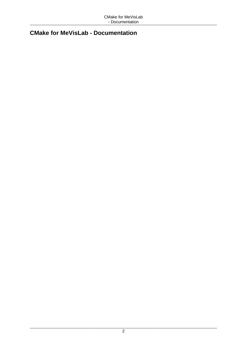#### **CMake for MeVisLab - Documentation**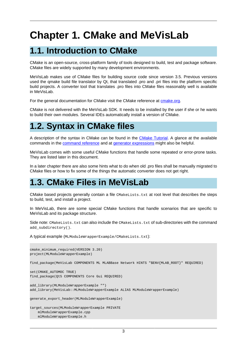# **Chapter 1. CMake and MeVisLab**

# **1.1. Introduction to CMake**

CMake is an open-source, cross-platform family of tools designed to build, test and package software. CMake files are widely supported by many development environments.

MeVisLab makes use of CMake files for building source code since version 3.5. Previous versions used the qmake build file translator by Qt, that translated .pro and .pri files into the platform specific build projects. A converter tool that translates .pro files into CMake files reasonably well is available in MeVisLab.

For the general documentation for CMake visit the CMake reference at [cmake.org.](https://cmake.org/cmake/help/latest/)

CMake is not delivered with the MeVisLab SDK. It needs to be installed by the user if she or he wants to build their own modules. Several IDEs automatically install a version of CMake.

# **1.2. Syntax in CMake files**

A description of the syntax in CMake can be found in the [CMake Tutorial](https://cmake.org/cmake/help/latest/guide/tutorial/index.html). A glance at the available commands in the [command reference](https://cmake.org/cmake/help/latest/manual/cmake-commands.7.html) and at [generator expressions](https://cmake.org/cmake/help/latest/manual/cmake-generator-expressions.7.html) might also be helpful.

MeVisLab comes with some useful CMake functions that handle some repeated or error-prone tasks. They are listed later in this document.

In a later chapter there are also some hints what to do when old .pro files shall be manually migrated to CMake files or how to fix some of the things the automatic converter does not get right.

## **1.3. CMake Files in MeVisLab**

CMake based projects generally contain a file CMakeLists.txt at root level that describes the steps to build, test, and install a project.

In MeVisLab, there are some special CMake functions that handle scenarios that are specific to MeVisLab and its package structure.

Side note: CMakeLists.txt can also include the CMakeLists.txt of sub-directories with the command add\_subdirectory().

A typical example (MLModuleWrapperExample/CMakeLists.txt):

```
cmake_minimum_required(VERSION 3.20)
project(MLModuleWrapperExample)
find_package(MeVisLab COMPONENTS ML MLABBase Network HINTS "$ENV{MLAB_ROOT}" REQUIRED)
set(CMAKE_AUTOMOC TRUE)
find_package(Qt5 COMPONENTS Core Gui REQUIRED)
add_library(MLModuleWrapperExample "")
add_library(MeVisLab::MLModuleWrapperExample ALIAS MLModuleWrapperExample)
generate_export_header(MLModuleWrapperExample)
target_sources(MLModuleWrapperExample PRIVATE
    mlModuleWrapperExample.cpp
    mlModuleWrapperExample.h
```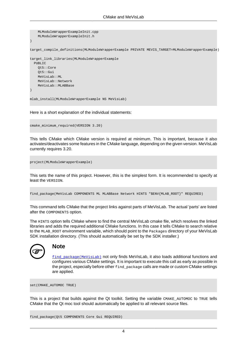```
 MLModuleWrapperExampleInit.cpp
     MLModuleWrapperExampleInit.h
)
target_compile_definitions(MLModuleWrapperExample PRIVATE MEVIS_TARGET=MLModuleWrapperExample)
target_link_libraries(MLModuleWrapperExample
 PUBLIC
    Qt5::Core
     Qt5::Gui
     MeVisLab::ML
     MeVisLab::Network
     MeVisLab::MLABBase
)
mlab_install(MLModuleWrapperExample NS MeVisLab)
```
Here is a short explanation of the individual statements:

cmake\_minimum\_required(VERSION 3.20)

This tells CMake which CMake version is required at minimum. This is important, because it also activates/deactivates some features in the CMake language, depending on the given version. MeVisLab currently requires 3.20.

project(MLModuleWrapperExample)

This sets the name of this project. However, this is the simplest form. It is recommended to specify at least the VERSION.

```
find_package(MeVisLab COMPONENTS ML MLABBase Network HINTS "$ENV{MLAB_ROOT}" REQUIRED)
```
This command tells CMake that the project links against parts of MeVisLab. The actual 'parts' are listed after the COMPONENTS option.

The HINTS option tells CMake where to find the central MeVisLab cmake file, which resolves the linked libraries and adds the required additional CMake functions. In this case it tells CMake to search relative to the MLAB\_ROOT environment variable, which should point to the Packages directory of your MeVisLab SDK installation directory. (This should automatically be set by the SDK installer.)



#### **Note**

[find\\_package\(MeVisLab\)](#page-6-0) not only finds MeVisLab, it also loads additional functions and configures various CMake settings. It is important to execute this call as early as possible in the project, especially before other find\_package calls are made or custom CMake settings are applied.

set(CMAKE\_AUTOMOC TRUE)

This is a project that builds against the Qt toolkit. Setting the variable CMAKE\_AUTOMOC to TRUE tells CMake that the Qt moc tool should automatically be applied to all relevant source files.

find\_package(Qt5 COMPONENTS Core Gui REQUIRED)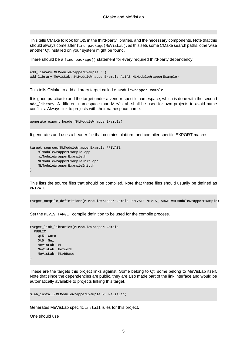This tells CMake to look for Qt5 in the third-party libraries, and the necessary components. Note that this should always come after find\_package(MeVisLab), as this sets some CMake search paths; otherwise another Qt installed on your system might be found.

There should be a find\_package() statement for every required third-party dependency.

```
add_library(MLModuleWrapperExample "")
add_library(MeVisLab::MLModuleWrapperExample ALIAS MLModuleWrapperExample)
```
This tells CMake to add a library target called MLModuleWrapperExample.

It is good practice to add the target under a vendor-specific namespace, which is done with the second add library. A different namespace than MeVisLab shall be used for own projects to avoid name conflicts. Always link to projects with their namespace name.

```
generate_export_header(MLModuleWrapperExample)
```
It generates and uses a header file that contains platform and compiler specific EXPORT macros.

```
target_sources(MLModuleWrapperExample PRIVATE
   mlModuleWrapperExample.cpp
    mlModuleWrapperExample.h
    MLModuleWrapperExampleInit.cpp
    MLModuleWrapperExampleInit.h
)
```
This lists the source files that should be compiled. Note that these files should usually be defined as PRIVATE.

```
target_compile_definitions(MLModuleWrapperExample PRIVATE MEVIS_TARGET=MLModuleWrapperExample)
```
Set the MEVIS TARGET compile definition to be used for the compile process.

```
target_link_libraries(MLModuleWrapperExample
  PUBLIC
    Qt5::Core
    Qt5::Gui
    MeVisLab::ML
    MeVisLab::Network
    MeVisLab::MLABBase
\,
```
These are the targets this project links against. Some belong to Qt, some belong to MeVisLab itself. Note that since the dependencies are public, they are also made part of the link interface and would be automatically available to projects linking this target.

mlab\_install(MLModuleWrapperExample NS MeVisLab)

Generates MeVisLab specific install rules for this project.

One should use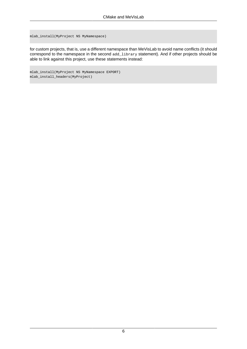mlab\_install(MyProject NS MyNamespace)

for custom projects, that is, use a different namespace than MeVisLab to avoid name conflicts (it should correspond to the namespace in the second add\_library statement). And if other projects should be able to link against this project, use these statements instead:

mlab\_install(MyProject NS MyNamespace EXPORT) mlab\_install\_headers(MyProject)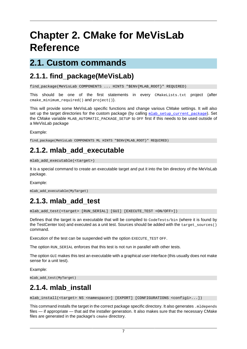# **Chapter 2. CMake for MeVisLab Reference**

### **2.1. Custom commands**

#### <span id="page-6-0"></span>**2.1.1. find\_package(MeVisLab)**

find\_package(MeVisLab COMPONENTS ... HINTS "\$ENV{MLAB\_ROOT}" REQUIRED)

This should be one of the first statements in every CMakeLists.txt project (after cmake\_minimum\_required() and project()).

This will provide some MeVisLab specific functions and change various CMake settings. It will also set up the target directories for the custom package (by calling mlab setup current package). Set the CMake variable MLAB\_AUTOMATIC\_PACKAGE\_SETUP to OFF first if this needs to be used outside of a MeVisLab package

Example:

find\_package(MeVisLab COMPONENTS ML HINTS "\$ENV{MLAB\_ROOT}" REQUIRED)

### **2.1.2. mlab\_add\_executable**

```
mlab_add_executable(<target>)
```
It is a special command to create an executable target and put it into the bin directory of the MeVisLab package.

Example:

```
mlab_add_executable(MyTarget)
```
#### **2.1.3. mlab\_add\_test**

mlab\_add\_test(<target> [RUN\_SERIAL] [GUI] [EXECUTE\_TEST <ON/OFF>])

Defines that the target is an executable that will be compiled to  $\text{coderests/bin}$  (where it is found by the TestCenter too) and executed as a unit test. Sources should be added with the target\_sources() command.

Execution of the test can be suspended with the option EXECUTE TEST OFF.

The option RUN\_SERIAL enforces that this test is not run in parallel with other tests.

The option GUI makes this test an executable with a graphical user interface (this usually does not make sense for a unit test).

Example:

```
mlab_add_test(MyTarget)
```
#### <span id="page-6-1"></span>**2.1.4. mlab\_install**

mlab\_install(<target> NS <namespace>] [EXPORT] [CONFIGURATIONS <config1>...])

This command installs the target in the correct package specific directory. It also generates .mldepends files — if appropriate — that aid the installer generation. It also makes sure that the necessary CMake files are generated in the package's cmake directory.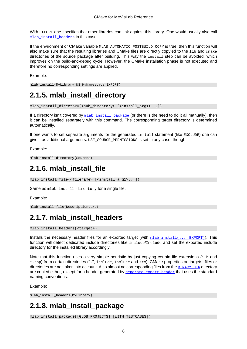With EXPORT one specifies that other libraries can link against this library. One would usually also call mlab install headers in this case.

If the environment or CMake variable MLAB\_AUTOMATIC\_POSTBUILD\_COPY is true, then this function will also make sure that the resulting libraries and CMake files are directly copyied to the lib and cmake directories of the source package after building. This way the install step can be avoided, which improves on the build-and-debug cycle. However, the CMake installation phase is not executed and therefore no corresponding settings are applied.

Example:

mlab\_install(MyLibrary NS MyNamespace EXPORT)

### **2.1.5. mlab\_install\_directory**

```
mlab_install_directory(<sub_directory> [<install_arg1>...])
```
If a directory isn't covered by  $m$ lab install package (or there is the need to do it all manually), then it can be installed separately with this command. The corresponding target directory is determined automatically.

If one wants to set separate arguments for the generated install statement (like EXCLUDE) one can give it as additional arguments. USE\_SOURCE\_PERMISSIONS is set in any case, though.

Example:

```
mlab_install_directory(Sources)
```
## **2.1.6. mlab\_install\_file**

```
mlab_install_file(<filename> [<install_arg1>...])
```
Same as mlab install directory for a single file.

Example:

```
mlab_install_file(Description.txt)
```
#### **2.1.7. mlab\_install\_headers**

```
mlab_install_headers(<target>)
```
Installs the necessary header files for an exported target (with  $mlab_install(... EXPORT))$  $mlab_install(... EXPORT))$ ). This function will detect dedicated include directories like include/Include and set the exported include directory for the installed library accordingly.

Note that this function uses a very simple heuristic by just copying certain file extensions  $(*.h$  and \*.hpp) from certain directories (".", include, Include and src). CMake properties on targets, files or directories are not taken into account. Also almost no corresponding files from the **[BINARY\\_DIR](https://cmake.org/cmake/help/latest/prop_tgt/BINARY_DIR.html)** directory are copied either, except for a header generated by **generate** export header that uses the standard naming conventions.

Example:

<span id="page-7-0"></span>mlab\_install\_headers(MyLibrary)

### **2.1.8. mlab\_install\_package**

mlab\_install\_package([GLOB\_PROJECTS] [WITH\_TESTCASES])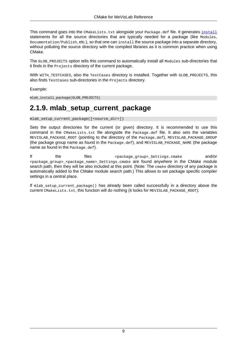This command goes into the CMakeLists.txt alongside your Package.def file. It generates [install](https://cmake.org/cmake/help/latest/command/install.html) statements for all the source directories that are typically needed for a package (like Modules, Documentation/Publish, etc.), so that one can install the source package into a separate directory, without polluting the source directory with the compiled libraries as it is common practice when using CMake.

The GLOB\_PROJECTS option tells this command to automatically install all Modules sub-directories that it finds in the Projects directory of the current package.

With WITH TESTCASES, also the TestCases directory is installed. Together with GLOB PROJECTS, this also finds TestCases sub-directories in the Projects directory.

Example:

mlab\_install\_package(GLOB\_PROJECTS)

### <span id="page-8-0"></span>**2.1.9. mlab\_setup\_current\_package**

mlab\_setup\_current\_package([<source\_dir>])

Sets the output directories for the current (or given) directory. It is recommended to use this command in the CMakeLists.txt file alongside the Package.def file. It also sets the variables MEVISLAB\_PACKAGE\_ROOT (pointing to the directory of the Package.def), MEVISLAB\_PACKAGE\_GROUP (the package group name as found in the Package.def), and MEVISLAB\_PACKAGE\_NAME (the package name as found in the Package.def).

If the files spackage\_group>\_Settings.cmake and/or <package\_group>\_<package\_name>\_Settings.cmake are found anywhere in the CMake module search path, then they will be also included at this point. (Note: The cmake directory of any package is automatically added to the CMake module search path.) This allows to set package specific compiler settings in a central place.

If mlab\_setup\_current\_package() has already been called successfully in a directory above the current CMakeLists.txt, this function will do nothing (it looks for MEVISLAB\_PACKAGE\_ROOT).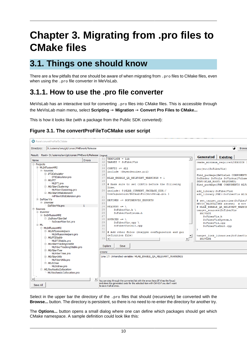# **Chapter 3. Migrating from .pro files to CMake files**

# **3.1. Things one should know**

There are a few pitfalls that one should be aware of when migrating from  $\lrcorner_{\rm pro}$  files to CMake files, even when using the .pro file converter in MeVisLab.

#### **3.1.1. How to use the .pro file converter**

MeVisLab has an interactive tool for converting .pro files into CMake files. This is accessible through the MeVisLab main menu, select **Scripting** → **Migration** → **Convert Pro Files to CMake...**

This is how it looks like (with a package from the Public SDK converted):

#### **Figure 3.1. The convertProFileToCMake user script**

| <sup>6</sup> Panel convertProFileToCMake<br>D:/usiems/svn/git/conan/FMEwork/Release<br>Directory: |         |                                                                                                             |                                   | <b>Brows</b>                      |  |
|---------------------------------------------------------------------------------------------------|---------|-------------------------------------------------------------------------------------------------------------|-----------------------------------|-----------------------------------|--|
| Result: Root= D:/usiems/svn/git/conan/FMEwork/Release   Original:                                 |         |                                                                                                             | <b>Generated</b>                  |                                   |  |
| Name<br><b>Frrors</b>                                                                             | 11      | TEMPLATE = lib<br>$\blacktriangle$                                                                          |                                   | <b>Existing</b>                   |  |
| <b>□ Projects</b>                                                                                 | 12      | TARGET = SoFiberVis                                                                                         |                                   | cmake minimum required (VERSION   |  |
| 白 MLDiffusionMRI                                                                                  | 13      |                                                                                                             |                                   |                                   |  |
| 白 Sources                                                                                         | 14      | $CONFIG += d11$                                                                                             |                                   | project (SoFiberVis)              |  |
| <b>DTICalculator</b>                                                                              | 15      | include (dependencies.pri)                                                                                  |                                   |                                   |  |
| DTICalculator.pro                                                                                 | 16      |                                                                                                             |                                   | find package (MeVisLab COMPONENTS |  |
| $\Box$ MLDTI                                                                                      | 17      | MLAB ENABLE QA RELEVANT WARNINGS = 1                                                                        |                                   | SoShader SoUtils SoVirtualVolume  |  |
| MLDTI.pro                                                                                         | 18      |                                                                                                             | \$ENV{MLAB ROOT} REQUIRED)        |                                   |  |
| <b>E</b> - MLFiberClustering                                                                      | 19      | # Make sure to set CONFIG before the following                                                              |                                   | find package (FME COMPONENTS MLFi |  |
|                                                                                                   |         | line.                                                                                                       |                                   |                                   |  |
| MLFiberClustering.pro                                                                             | 20      | include( \$(MLAB CURRENT PACKAGE DIR)/                                                                      |                                   | add library (SoFiberVis)          |  |
| - MLFiberUtilsExtension                                                                           |         | Configuration/DefaultProjectSetup.pri )                                                                     | add library (FME::SoFiberVis ALIA |                                   |  |
| im mlFiberUtilsExtension.pro                                                                      | 21      |                                                                                                             |                                   |                                   |  |
| <b>E</b> SoFiberVis                                                                               | 22      | DEFINES += SOFIBERVIS EXPORTS                                                                               |                                   | # set target properties (SoFiberV |  |
| $\Box$ Sources                                                                                    | 23      |                                                                                                             |                                   | MEVIS MAINTAINER akoehn) # not    |  |
| SoFiberVis.pro                                                                                    | 24      | HEADERS $+= \n\wedge$                                                                                       |                                   | # MLAB ENABLE QA RELEVANT WARNIN  |  |
| 白· Sources                                                                                        | 25      | SoFiberVis.h \                                                                                              | target sources (SoFiberVis        |                                   |  |
| <b>□ Inventor</b>                                                                                 | 26      | SoFiberVisSystem.h                                                                                          | <b>PRIVATE</b>                    |                                   |  |
| <b>E</b> SoDiffusionMRI                                                                           | 27      |                                                                                                             | SoFiberVis.h                      |                                   |  |
| □ SoDrawFiberSet                                                                                  | 28      | SOURCES $+= \setminus$                                                                                      |                                   | SoFiberVisSystem.h                |  |
| SoDrawFiberSet.pro                                                                                | 29      | SoFiberVis.cpp \                                                                                            | SoFiberVis.cpp                    |                                   |  |
| ⊟⊹MI                                                                                              | 30      | SoFiberVisInit.cpp                                                                                          |                                   | SoFiberVisInit.cpp                |  |
| <b>E</b> -MLDiffusionMRI                                                                          | 31      |                                                                                                             |                                   |                                   |  |
| <b>MLDiffusionHelpers</b>                                                                         | 32      | # Add other files (doxygen configuration and qui                                                            |                                   |                                   |  |
| MLDiffusionHelpers.pro                                                                            |         | definition file)                                                                                            |                                   | target link libraries (SoFiberVis |  |
| <b>MLDTIStable</b>                                                                                | 33      | $\lvert$<br>$\mathbf{F}$                                                                                    | <b>PRIVATE</b>                    |                                   |  |
| MLDTIStable.pro                                                                                   |         |                                                                                                             |                                   |                                   |  |
| MLFiberTrackingStable                                                                             |         |                                                                                                             |                                   |                                   |  |
| MLFiberTrackingStable.pro                                                                         |         | Explore<br>Save                                                                                             |                                   |                                   |  |
| <b>MLFiberTree</b>                                                                                |         |                                                                                                             |                                   |                                   |  |
| MLFiberTree.pro                                                                                   | Errors: |                                                                                                             |                                   |                                   |  |
| <b>E</b> MLFiberUtils                                                                             |         | Line 17: Unhandled variable: MLAB_ENABLE_QA_RELEVANT_WARNINGS                                               |                                   |                                   |  |
| MLFiberUtils.pro                                                                                  |         |                                                                                                             |                                   |                                   |  |
| □ MLOctree                                                                                        |         |                                                                                                             |                                   |                                   |  |
| MLOctree.pro                                                                                      |         |                                                                                                             |                                   |                                   |  |
| E MLStochasticCollocation                                                                         |         |                                                                                                             |                                   |                                   |  |
| MLStochasticCollocation.pro                                                                       |         |                                                                                                             |                                   |                                   |  |
|                                                                                                   |         |                                                                                                             |                                   |                                   |  |
|                                                                                                   | ٠       |                                                                                                             |                                   |                                   |  |
|                                                                                                   |         | You can step through the converted list with the arrow keys (if it has the focus)                           |                                   |                                   |  |
| Save All                                                                                          |         | and store the generated code for the selected item with Ctrl+S if you don't want<br>to save it all at once. |                                   |                                   |  |
|                                                                                                   |         |                                                                                                             |                                   |                                   |  |

Select in the upper bar the directory of the .pro files that should (recursively) be converted with the **Browse...** button. The directory is persistent, so there is no need to re-enter the directory for another try.

The **Options...** button opens a small dialog where one can define which packages should get which CMake namespace. A sample definition could look like this: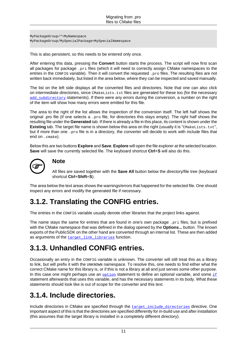MyPackageGroup/\*=MyNamespace MyPackageGroup/MySpecialPackage=MySpecialNamespace

This is also persistent, so this needs to be entered only once.

After entering this data, pressing the **Convert** button starts the process. The script will now first scan all packages for package .pri files (which it will need to correctly assign CMake namespaces to the entries in the CONFIG variable). Then it will convert the requested .pro files. The resulting files are not written back immediately, but listed in the area below, where they can be inspected and saved manually.

The list on the left side displays all the converted files and directories. Note that one can also click on intermediate directories, since CMakeLists.txt files are generated for these too (for the necessary add subdirectory statements). If there were any errors during the conversion, a number on the right of the item will show how many errors were emitted for this file.

The area to the right of the list allows the inspection of the conversion itself. The left half shows the original .pro file (if one selects a . $p_{\text{TO}}$  file, for directories this stays empty). The right half shows the resulting file under the **Generated** tab. If there is already a file in this place, its content is shown under the **Existing** tab. The target file name is shown below this area on the right (usually it is "CMARELists.txt", but if more than one . pro file is in a directory, the converter will decide to work with include files that end on .cmake).

Below this are two buttons **Explore** and **Save**. **Explore** will open the file explorer at the selected location. **Save** will save the currently selected file. The keyboard shortcut **Ctrl**+**S** will also do this.



#### **Note**

All files are saved together with the **Save All** button below the directory/file tree (keyboard shortcut **Ctrl**+**Shift**+**S**).

The area below the text areas shows the warnings/errors that happened for the selected file. One should inspect any errors and modify the generated file if necessary.

## **3.1.2. Translating the CONFIG entries.**

The entries in the CONFIG variable usually denote other libraries that the project links against.

The name stays the same for entries that are found in one's own package .pri files, but is prefixed with the CMake namespace that was defined in the dialog opened by the **Options...** button. The known exports of the PublicSDK on the other hand are converted through an internal list. These are then added as arguments of the target link libraries function.

### **3.1.3. Unhandled CONFIG entries.**

Occasionally an entry in the CONFIG variable is unknown. The converter will still treat this as a library to link, but will prefix it with the UNKNOWN namespace. To resolve this, one needs to find either what the correct CMake name for this library is, or if this is not a library at all and just serves some other purpose. In this case one might perhaps use an  $_{\text{option}}$  $_{\text{option}}$  $_{\text{option}}$  statement to define an optional variable, and some  $_{\text{if}}$  $_{\text{if}}$  $_{\text{if}}$ statement afterwards that uses this variable, and has the necessary statements in its body. What these statements should look like is out of scope for the converter and this text.

#### **3.1.4. Include directories.**

Include directories in CMake are specified through the target include directories directive. One important aspect of this is that the directories are specified differently for in-build use and after installation (this assumes that the target library is installed in a completely different directory).